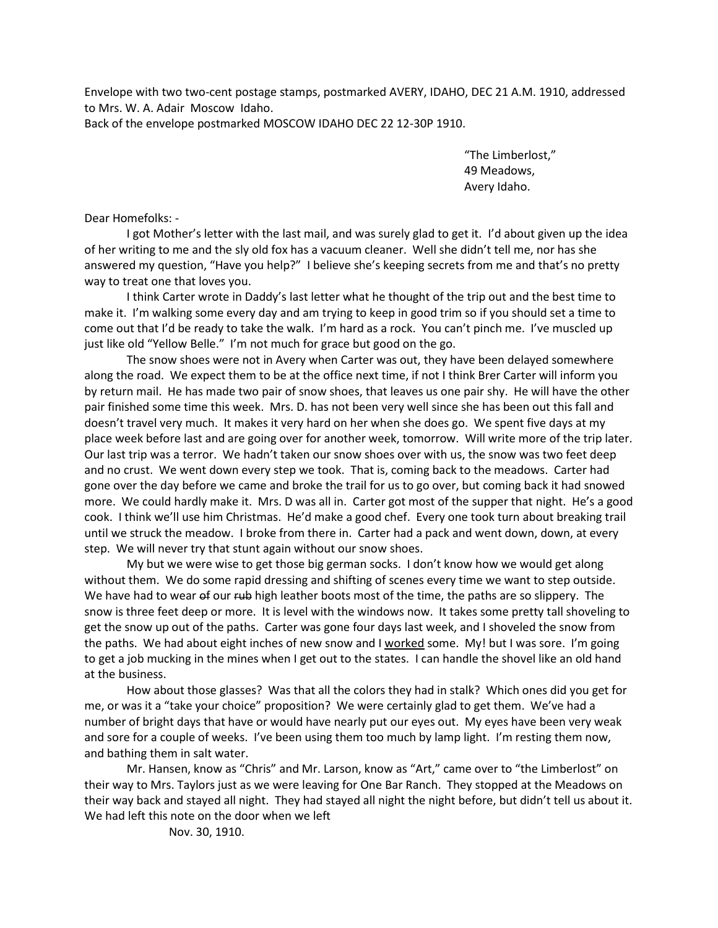Envelope with two two-cent postage stamps, postmarked AVERY, IDAHO, DEC 21 A.M. 1910, addressed to Mrs. W. A. Adair Moscow Idaho.

Back of the envelope postmarked MOSCOW IDAHO DEC 22 12-30P 1910.

"The Limberlost," 49 Meadows, Avery Idaho.

Dear Homefolks: -

I got Mother's letter with the last mail, and was surely glad to get it. I'd about given up the idea of her writing to me and the sly old fox has a vacuum cleaner. Well she didn't tell me, nor has she answered my question, "Have you help?" I believe she's keeping secrets from me and that's no pretty way to treat one that loves you.

I think Carter wrote in Daddy's last letter what he thought of the trip out and the best time to make it. I'm walking some every day and am trying to keep in good trim so if you should set a time to come out that I'd be ready to take the walk. I'm hard as a rock. You can't pinch me. I've muscled up just like old "Yellow Belle." I'm not much for grace but good on the go.

The snow shoes were not in Avery when Carter was out, they have been delayed somewhere along the road. We expect them to be at the office next time, if not I think Brer Carter will inform you by return mail. He has made two pair of snow shoes, that leaves us one pair shy. He will have the other pair finished some time this week. Mrs. D. has not been very well since she has been out this fall and doesn't travel very much. It makes it very hard on her when she does go. We spent five days at my place week before last and are going over for another week, tomorrow. Will write more of the trip later. Our last trip was a terror. We hadn't taken our snow shoes over with us, the snow was two feet deep and no crust. We went down every step we took. That is, coming back to the meadows. Carter had gone over the day before we came and broke the trail for us to go over, but coming back it had snowed more. We could hardly make it. Mrs. D was all in. Carter got most of the supper that night. He's a good cook. I think we'll use him Christmas. He'd make a good chef. Every one took turn about breaking trail until we struck the meadow. I broke from there in. Carter had a pack and went down, down, at every step. We will never try that stunt again without our snow shoes.

My but we were wise to get those big german socks. I don't know how we would get along without them. We do some rapid dressing and shifting of scenes every time we want to step outside. We have had to wear of our rub high leather boots most of the time, the paths are so slippery. The snow is three feet deep or more. It is level with the windows now. It takes some pretty tall shoveling to get the snow up out of the paths. Carter was gone four days last week, and I shoveled the snow from the paths. We had about eight inches of new snow and I worked some. My! but I was sore. I'm going to get a job mucking in the mines when I get out to the states. I can handle the shovel like an old hand at the business.

How about those glasses? Was that all the colors they had in stalk? Which ones did you get for me, or was it a "take your choice" proposition? We were certainly glad to get them. We've had a number of bright days that have or would have nearly put our eyes out. My eyes have been very weak and sore for a couple of weeks. I've been using them too much by lamp light. I'm resting them now, and bathing them in salt water.

Mr. Hansen, know as "Chris" and Mr. Larson, know as "Art," came over to "the Limberlost" on their way to Mrs. Taylors just as we were leaving for One Bar Ranch. They stopped at the Meadows on their way back and stayed all night. They had stayed all night the night before, but didn't tell us about it. We had left this note on the door when we left

Nov. 30, 1910.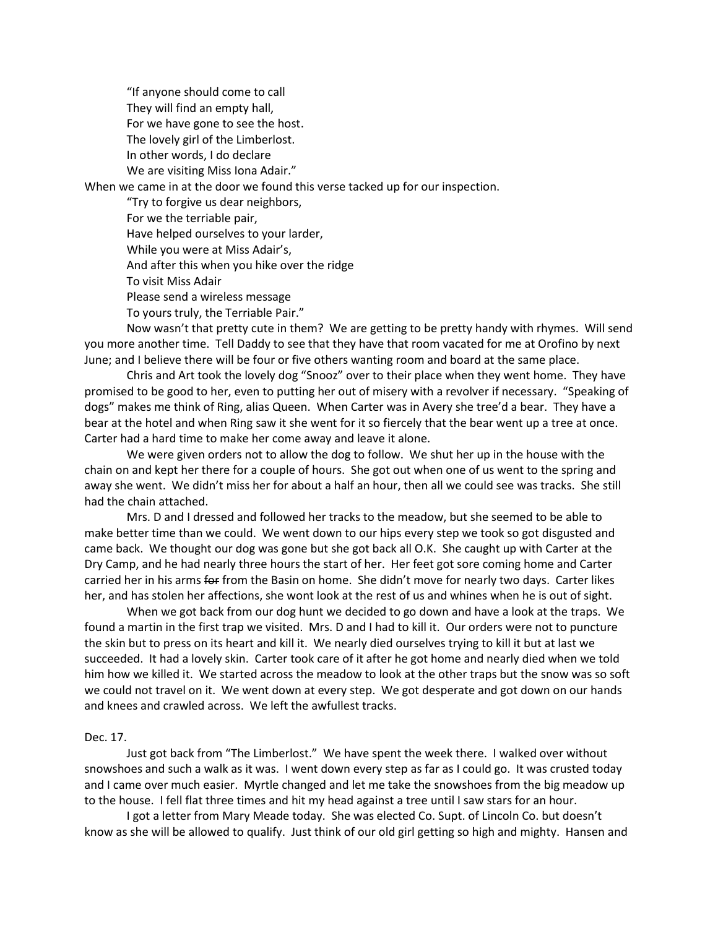"If anyone should come to call They will find an empty hall, For we have gone to see the host. The lovely girl of the Limberlost. In other words, I do declare We are visiting Miss Iona Adair." When we came in at the door we found this verse tacked up for our inspection. "Try to forgive us dear neighbors, For we the terriable pair, Have helped ourselves to your larder,

While you were at Miss Adair's,

And after this when you hike over the ridge

To visit Miss Adair

Please send a wireless message

To yours truly, the Terriable Pair."

Now wasn't that pretty cute in them? We are getting to be pretty handy with rhymes. Will send you more another time. Tell Daddy to see that they have that room vacated for me at Orofino by next June; and I believe there will be four or five others wanting room and board at the same place.

Chris and Art took the lovely dog "Snooz" over to their place when they went home. They have promised to be good to her, even to putting her out of misery with a revolver if necessary. "Speaking of dogs" makes me think of Ring, alias Queen. When Carter was in Avery she tree'd a bear. They have a bear at the hotel and when Ring saw it she went for it so fiercely that the bear went up a tree at once. Carter had a hard time to make her come away and leave it alone.

We were given orders not to allow the dog to follow. We shut her up in the house with the chain on and kept her there for a couple of hours. She got out when one of us went to the spring and away she went. We didn't miss her for about a half an hour, then all we could see was tracks. She still had the chain attached.

Mrs. D and I dressed and followed her tracks to the meadow, but she seemed to be able to make better time than we could. We went down to our hips every step we took so got disgusted and came back. We thought our dog was gone but she got back all O.K. She caught up with Carter at the Dry Camp, and he had nearly three hours the start of her. Her feet got sore coming home and Carter carried her in his arms for from the Basin on home. She didn't move for nearly two days. Carter likes her, and has stolen her affections, she wont look at the rest of us and whines when he is out of sight.

When we got back from our dog hunt we decided to go down and have a look at the traps. We found a martin in the first trap we visited. Mrs. D and I had to kill it. Our orders were not to puncture the skin but to press on its heart and kill it. We nearly died ourselves trying to kill it but at last we succeeded. It had a lovely skin. Carter took care of it after he got home and nearly died when we told him how we killed it. We started across the meadow to look at the other traps but the snow was so soft we could not travel on it. We went down at every step. We got desperate and got down on our hands and knees and crawled across. We left the awfullest tracks.

## Dec. 17.

Just got back from "The Limberlost." We have spent the week there. I walked over without snowshoes and such a walk as it was. I went down every step as far as I could go. It was crusted today and I came over much easier. Myrtle changed and let me take the snowshoes from the big meadow up to the house. I fell flat three times and hit my head against a tree until I saw stars for an hour.

I got a letter from Mary Meade today. She was elected Co. Supt. of Lincoln Co. but doesn't know as she will be allowed to qualify. Just think of our old girl getting so high and mighty. Hansen and